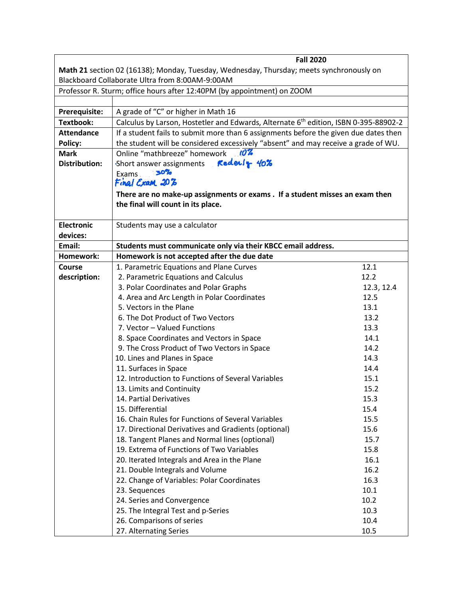|                                                                                          | <b>Fall 2020</b>                                                                                 |            |  |  |
|------------------------------------------------------------------------------------------|--------------------------------------------------------------------------------------------------|------------|--|--|
| Math 21 section 02 (16138); Monday, Tuesday, Wednesday, Thursday; meets synchronously on |                                                                                                  |            |  |  |
| Blackboard Collaborate Ultra from 8:00AM-9:00AM                                          |                                                                                                  |            |  |  |
| Professor R. Sturm; office hours after 12:40PM (by appointment) on ZOOM                  |                                                                                                  |            |  |  |
|                                                                                          |                                                                                                  |            |  |  |
| Prerequisite:                                                                            | A grade of "C" or higher in Math 16                                                              |            |  |  |
| <b>Textbook:</b>                                                                         | Calculus by Larson, Hostetler and Edwards, Alternate 6 <sup>th</sup> edition, ISBN 0-395-88902-2 |            |  |  |
| <b>Attendance</b>                                                                        | If a student fails to submit more than 6 assignments before the given due dates then             |            |  |  |
| <b>Policy:</b>                                                                           | the student will be considered excessively "absent" and may receive a grade of WU.               |            |  |  |
| <b>Mark</b>                                                                              | Online "mathbreeze" homework 107                                                                 |            |  |  |
| <b>Distribution:</b>                                                                     | Short answer assignments Follet 15 40%                                                           |            |  |  |
|                                                                                          | Exams ____ 30%                                                                                   |            |  |  |
|                                                                                          | Final Exam 207                                                                                   |            |  |  |
|                                                                                          | There are no make-up assignments or exams . If a student misses an exam then                     |            |  |  |
|                                                                                          | the final will count in its place.                                                               |            |  |  |
|                                                                                          |                                                                                                  |            |  |  |
| <b>Electronic</b>                                                                        | Students may use a calculator                                                                    |            |  |  |
| devices:                                                                                 |                                                                                                  |            |  |  |
| Email:                                                                                   | Students must communicate only via their KBCC email address.                                     |            |  |  |
| Homework:                                                                                | Homework is not accepted after the due date                                                      |            |  |  |
| <b>Course</b>                                                                            | 1. Parametric Equations and Plane Curves                                                         | 12.1       |  |  |
| description:                                                                             | 2. Parametric Equations and Calculus                                                             | 12.2       |  |  |
|                                                                                          | 3. Polar Coordinates and Polar Graphs                                                            | 12.3, 12.4 |  |  |
|                                                                                          | 4. Area and Arc Length in Polar Coordinates                                                      | 12.5       |  |  |
|                                                                                          | 5. Vectors in the Plane                                                                          | 13.1       |  |  |
|                                                                                          | 6. The Dot Product of Two Vectors                                                                | 13.2       |  |  |
|                                                                                          | 7. Vector - Valued Functions                                                                     | 13.3       |  |  |
|                                                                                          | 8. Space Coordinates and Vectors in Space                                                        | 14.1       |  |  |
|                                                                                          | 9. The Cross Product of Two Vectors in Space                                                     | 14.2       |  |  |
|                                                                                          | 10. Lines and Planes in Space                                                                    | 14.3       |  |  |
|                                                                                          | 11. Surfaces in Space                                                                            | 14.4       |  |  |
|                                                                                          | 12. Introduction to Functions of Several Variables                                               | 15.1       |  |  |
|                                                                                          | 13. Limits and Continuity                                                                        | 15.2       |  |  |
|                                                                                          | 14. Partial Derivatives                                                                          | 15.3       |  |  |
|                                                                                          | 15. Differential                                                                                 | 15.4       |  |  |
|                                                                                          | 16. Chain Rules for Functions of Several Variables                                               | 15.5       |  |  |
|                                                                                          | 17. Directional Derivatives and Gradients (optional)                                             | 15.6       |  |  |
|                                                                                          | 18. Tangent Planes and Normal lines (optional)                                                   | 15.7       |  |  |
|                                                                                          | 19. Extrema of Functions of Two Variables                                                        | 15.8       |  |  |
|                                                                                          | 20. Iterated Integrals and Area in the Plane                                                     | 16.1       |  |  |
|                                                                                          | 21. Double Integrals and Volume                                                                  | 16.2       |  |  |
|                                                                                          | 22. Change of Variables: Polar Coordinates                                                       | 16.3       |  |  |
|                                                                                          | 23. Sequences                                                                                    | 10.1       |  |  |
|                                                                                          | 24. Series and Convergence                                                                       | 10.2       |  |  |
|                                                                                          | 25. The Integral Test and p-Series                                                               | 10.3       |  |  |
|                                                                                          | 26. Comparisons of series                                                                        | 10.4       |  |  |
|                                                                                          | 27. Alternating Series                                                                           | 10.5       |  |  |